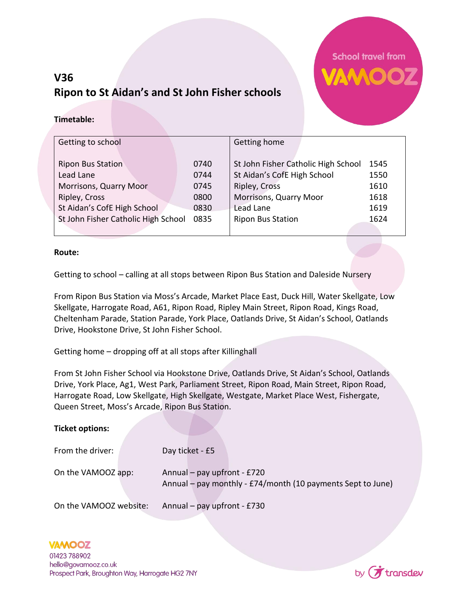## **V36 Ripon to St Aidan's and St John Fisher schools**



## **Timetable:**

| Getting to school                   |      | Getting home                        |      |
|-------------------------------------|------|-------------------------------------|------|
|                                     |      |                                     |      |
| <b>Ripon Bus Station</b>            | 0740 | St John Fisher Catholic High School | 1545 |
| Lead Lane                           | 0744 | St Aidan's CofE High School         | 1550 |
| Morrisons, Quarry Moor              | 0745 | Ripley, Cross                       | 1610 |
| Ripley, Cross                       | 0800 | Morrisons, Quarry Moor              | 1618 |
| St Aidan's CofE High School         | 0830 | Lead Lane                           | 1619 |
| St John Fisher Catholic High School | 0835 | <b>Ripon Bus Station</b>            | 1624 |
|                                     |      |                                     |      |

## **Route:**

Getting to school – calling at all stops between Ripon Bus Station and Daleside Nursery

From Ripon Bus Station via Moss's Arcade, Market Place East, Duck Hill, Water Skellgate, Low Skellgate, Harrogate Road, A61, Ripon Road, Ripley Main Street, Ripon Road, Kings Road, Cheltenham Parade, Station Parade, York Place, Oatlands Drive, St Aidan's School, Oatlands Drive, Hookstone Drive, St John Fisher School.

Getting home – dropping off at all stops after Killinghall

From St John Fisher School via Hookstone Drive, Oatlands Drive, St Aidan's School, Oatlands Drive, York Place, Ag1, West Park, Parliament Street, Ripon Road, Main Street, Ripon Road, Harrogate Road, Low Skellgate, High Skellgate, Westgate, Market Place West, Fishergate, Queen Street, Moss's Arcade, Ripon Bus Station.

| <b>Ticket options:</b> |                                                                                              |
|------------------------|----------------------------------------------------------------------------------------------|
| From the driver:       | Day ticket - £5                                                                              |
| On the VAMOOZ app:     | Annual – pay upfront - $E720$<br>Annual – pay monthly - £74/month (10 payments Sept to June) |
| On the VAMOOZ website: | Annual – pay upfront - £730                                                                  |